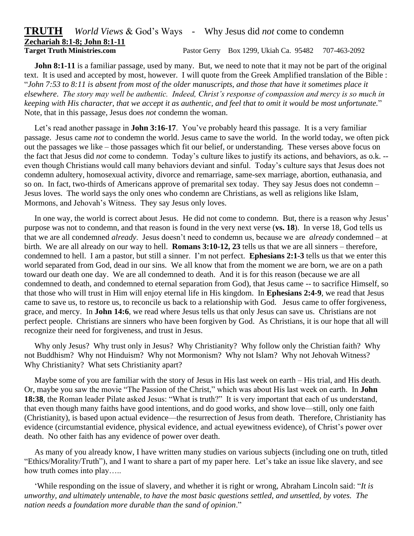## **TRUTH** *World Views* & God's Ways - Why Jesus did *not* come to condemn **Zechariah 8:1-8; John 8:1-11**

**Target Truth Ministries.com** Pastor Gerry Box 1299, Ukiah Ca. 95482 707-463-2092

**John 8:1-11** is a familiar passage, used by many. But, we need to note that it may not be part of the original text. It is used and accepted by most, however. I will quote from the Greek Amplified translation of the Bible : "*John 7:53 to 8:11 is absent from most of the older manuscripts, and those that have it sometimes place it elsewhere*. *The story may well be authentic. Indeed, Christ's response of compassion and mercy is so much in keeping with His character, that we accept it as authentic, and feel that to omit it would be most unfortunate.*" Note, that in this passage, Jesus does *not* condemn the woman.

 Let's read another passage in **John 3:16-17**. You've probably heard this passage. It is a very familiar passage. Jesus came *not* to condemn the world. Jesus came to save the world. In the world today, we often pick out the passages we like – those passages which fit our belief, or understanding. These verses above focus on the fact that Jesus did *not* come to condemn. Today's culture likes to justify its actions, and behaviors, as o.k. - even though Christians would call many behaviors deviant and sinful. Today's culture says that Jesus does not condemn adultery, homosexual activity, divorce and remarriage, same-sex marriage, abortion, euthanasia, and so on. In fact, two-thirds of Americans approve of premarital sex today. They say Jesus does not condemn – Jesus loves. The world says the only ones who condemn are Christians, as well as religions like Islam, Mormons, and Jehovah's Witness. They say Jesus only loves.

 In one way, the world is correct about Jesus. He did not come to condemn. But, there is a reason why Jesus' purpose was not to condemn, and that reason is found in the very next verse (**vs. 18**). In verse 18, God tells us that we are all condemned *already*. Jesus doesn't need to condemn us, because we are *already* condemned – at birth. We are all already on our way to hell. **Romans 3:10-12, 23** tells us that we are all sinners – therefore, condemned to hell. I am a pastor, but still a sinner. I'm not perfect. **Ephesians 2:1-3** tells us that we enter this world separated from God, dead in our sins. We all know that from the moment we are born, we are on a path toward our death one day. We are all condemned to death. And it is for this reason (because we are all condemned to death, and condemned to eternal separation from God), that Jesus came -- to sacrifice Himself, so that those who will trust in Him will enjoy eternal life in His kingdom. In **Ephesians 2:4-9**, we read that Jesus came to save us, to restore us, to reconcile us back to a relationship with God. Jesus came to offer forgiveness, grace, and mercy. In **John 14:6**, we read where Jesus tells us that only Jesus can save us. Christians are not perfect people. Christians are sinners who have been forgiven by God. As Christians, it is our hope that all will recognize their need for forgiveness, and trust in Jesus.

 Why only Jesus? Why trust only in Jesus? Why Christianity? Why follow only the Christian faith? Why not Buddhism? Why not Hinduism? Why not Mormonism? Why not Islam? Why not Jehovah Witness? Why Christianity? What sets Christianity apart?

 Maybe some of you are familiar with the story of Jesus in His last week on earth – His trial, and His death. Or, maybe you saw the movie "The Passion of the Christ," which was about His last week on earth. In **John 18:38**, the Roman leader Pilate asked Jesus: "What is truth?" It is very important that each of us understand, that even though many faiths have good intentions, and do good works, and show love—still, only one faith (Christianity), is based upon actual evidence—the resurrection of Jesus from death. Therefore, Christianity has evidence (circumstantial evidence, physical evidence, and actual eyewitness evidence), of Christ's power over death. No other faith has any evidence of power over death.

 As many of you already know, I have written many studies on various subjects (including one on truth, titled "Ethics/Morality/Truth"), and I want to share a part of my paper here. Let's take an issue like slavery, and see how truth comes into play…..

 'While responding on the issue of slavery, and whether it is right or wrong, Abraham Lincoln said: "*It is unworthy, and ultimately untenable, to have the most basic questions settled, and unsettled, by votes. The nation needs a foundation more durable than the sand of opinion*."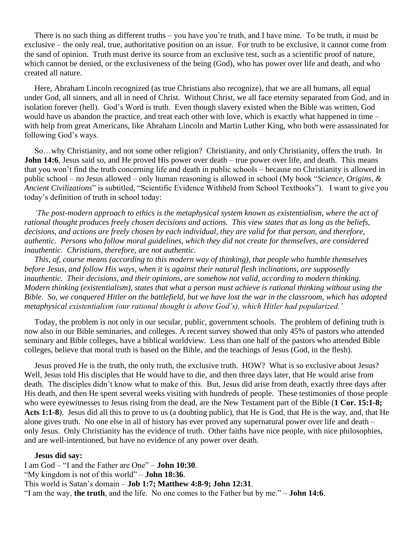There is no such thing as different truths – you have you're truth, and I have mine. To be truth, it must be exclusive – the only real, true, authoritative position on an issue. For truth to be exclusive, it cannot come from the sand of opinion. Truth must derive its source from an exclusive test, such as a scientific proof of nature, which cannot be denied, or the exclusiveness of the being (God), who has power over life and death, and who created all nature.

 Here, Abraham Lincoln recognized (as true Christians also recognize), that we are all humans, all equal under God, all sinners, and all in need of Christ. Without Christ, we all face eternity separated from God, and in isolation forever (hell). God's Word is truth. Even though slavery existed when the Bible was written, God would have us abandon the practice, and treat each other with love, which is exactly what happened in time – with help from great Americans, like Abraham Lincoln and Martin Luther King, who both were assassinated for following God's ways.

 So…why Christianity, and not some other religion? Christianity, and only Christianity, offers the truth. In **John 14:6**, Jesus said so, and He proved His power over death – true power over life, and death. This means that you won't find the truth concerning life and death in public schools – because no Christianity is allowed in public school – no Jesus allowed – only human reasoning is allowed in school (My book "*Science, Origins, & Ancient Civilizations*" is subtitled, "Scientific Evidence Withheld from School Textbooks"). I want to give you today's definition of truth in school today:

 *'The post-modern approach to ethics is the metaphysical system known as existentialism, where the act of rational thought produces freely chosen decisions and actions. This view states that as long as the beliefs, decisions, and actions are freely chosen by each individual, they are valid for that person, and therefore, authentic. Persons who follow moral guidelines, which they did not create for themselves, are considered inauthentic. Christians, therefore, are not authentic.*

 *This, of, course means (according to this modern way of thinking), that people who humble themselves before Jesus, and follow His ways, when it is against their natural flesh inclinations, are supposedly inauthentic. Their decisions, and their opinions, are somehow not valid, according to modern thinking. Modern thinking (existentialism), states that what a person must achieve is rational thinking without using the Bible. So, we conquered Hitler on the battlefield, but we have lost the war in the classroom, which has adopted metaphysical existentialism (our rational thought is above God's), which Hitler had popularized.'*

 Today, the problem is not only in our secular, public, government schools. The problem of defining truth is now also in our Bible seminaries, and colleges. A recent survey showed that only 45% of pastors who attended seminary and Bible colleges, have a biblical worldview. Less than one half of the pastors who attended Bible colleges, believe that moral truth is based on the Bible, and the teachings of Jesus (God, in the flesh).

 Jesus proved He is the truth, the only truth, the exclusive truth. HOW? What is so exclusive about Jesus? Well, Jesus told His disciples that He would have to die, and then three days later, that He would arise from death. The disciples didn't know what to make of this. But, Jesus did arise from death, exactly three days after His death, and then He spent several weeks visiting with hundreds of people. These testimonies of those people who were eyewitnesses to Jesus rising from the dead, are the New Testament part of the Bible (**1 Cor. 15:1-8; Acts 1:1-8**). Jesus did all this to prove to us (a doubting public), that He is God, that He is the way, and, that He alone gives truth. No one else in all of history has ever proved any supernatural power over life and death – only Jesus. Only Christianity has the evidence of truth. Other faiths have nice people, with nice philosophies, and are well-intentioned, but have no evidence of any power over death.

## **Jesus did say:**

I am God – "I and the Father are One" – **John 10:30**. "My kingdom is not of this world" – **John 18:36**. This world is Satan's domain – **Job 1:7; Matthew 4:8-9; John 12:31**. "I am the way, **the truth**, and the life. No one comes to the Father but by me." – **John 14:6**.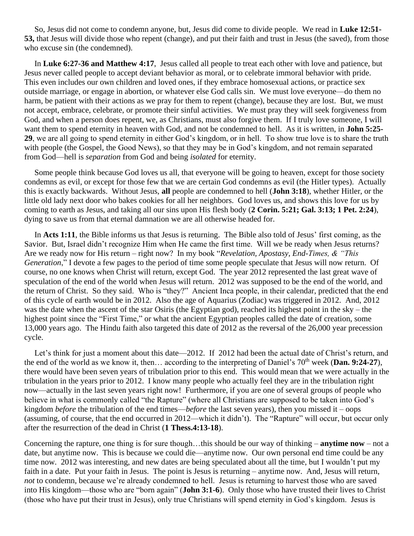So, Jesus did not come to condemn anyone, but, Jesus did come to divide people. We read in **Luke 12:51- 53,** that Jesus will divide those who repent (change), and put their faith and trust in Jesus (the saved), from those who excuse sin (the condemned).

 In **Luke 6:27-36 and Matthew 4:17**, Jesus called all people to treat each other with love and patience, but Jesus never called people to accept deviant behavior as moral, or to celebrate immoral behavior with pride. This even includes our own children and loved ones, if they embrace homosexual actions, or practice sex outside marriage, or engage in abortion, or whatever else God calls sin. We must love everyone—do them no harm, be patient with their actions as we pray for them to repent (change), because they are lost. But, we must not accept, embrace, celebrate, or promote their sinful activities. We must pray they will seek forgiveness from God, and when a person does repent, we, as Christians, must also forgive them. If I truly love someone, I will want them to spend eternity in heaven with God, and not be condemned to hell. As it is written, in **John 5:25- 29**, we are all going to spend eternity in either God's kingdom, or in hell. To show true love is to share the truth with people (the Gospel, the Good News), so that they may be in God's kingdom, and not remain separated from God—hell is *separation* from God and being *isolated* for eternity.

 Some people think because God loves us all, that everyone will be going to heaven, except for those society condemns as evil, or except for those few that we are certain God condemns as evil (the Hitler types). Actually this is exactly backwards. Without Jesus, **all** people are condemned to hell (**John 3:18**), whether Hitler, or the little old lady next door who bakes cookies for all her neighbors. God loves us, and shows this love for us by coming to earth as Jesus, and taking all our sins upon His flesh body (**2 Corin. 5:21; Gal. 3:13; 1 Pet. 2:24**), dying to save us from that eternal damnation we are all otherwise headed for.

In **Acts 1:11**, the Bible informs us that Jesus is returning. The Bible also told of Jesus' first coming, as the Savior. But, Israel didn't recognize Him when He came the first time. Will we be ready when Jesus returns? Are we ready now for His return – right now? In my book "*Revelation, Apostasy, End-Times, & "This Generation*," I devote a few pages to the period of time some people speculate that Jesus will now return. Of course, no one knows when Christ will return, except God. The year 2012 represented the last great wave of speculation of the end of the world when Jesus will return. 2012 was supposed to be the end of the world, and the return of Christ. So they said. Who is "they?" Ancient Inca people, in their calendar, predicted that the end of this cycle of earth would be in 2012. Also the age of Aquarius (Zodiac) was triggered in 2012. And, 2012 was the date when the ascent of the star Osiris (the Egyptian god), reached its highest point in the sky – the highest point since the "First Time," or what the ancient Egyptian peoples called the date of creation, some 13,000 years ago. The Hindu faith also targeted this date of 2012 as the reversal of the 26,000 year precession cycle.

Let's think for just a moment about this date—2012. If 2012 had been the actual date of Christ's return, and the end of the world as we know it, then… according to the interpreting of Daniel's 70<sup>th</sup> week (**Dan. 9:24-27**), there would have been seven years of tribulation prior to this end. This would mean that we were actually in the tribulation in the years prior to 2012. I know many people who actually feel they are in the tribulation right now—actually in the last seven years right now! Furthermore, if you are one of several groups of people who believe in what is commonly called "the Rapture" (where all Christians are supposed to be taken into God's kingdom *before* the tribulation of the end times—*before* the last seven years), then you missed it – oops (assuming, of course, that the end occurred in 2012—which it didn't). The "Rapture" will occur, but occur only after the resurrection of the dead in Christ (**1 Thess.4:13-18**).

Concerning the rapture, one thing is for sure though…this should be our way of thinking – **anytime now** – not a date, but anytime now. This is because we could die—anytime now. Our own personal end time could be any time now. 2012 was interesting, and new dates are being speculated about all the time, but I wouldn't put my faith in a date. Put your faith in Jesus. The point is Jesus is returning – anytime now. And, Jesus will return, *not* to condemn, because we're already condemned to hell. Jesus is returning to harvest those who are saved into His kingdom—those who are "born again" (**John 3:1-6**). Only those who have trusted their lives to Christ (those who have put their trust in Jesus), only true Christians will spend eternity in God's kingdom. Jesus is